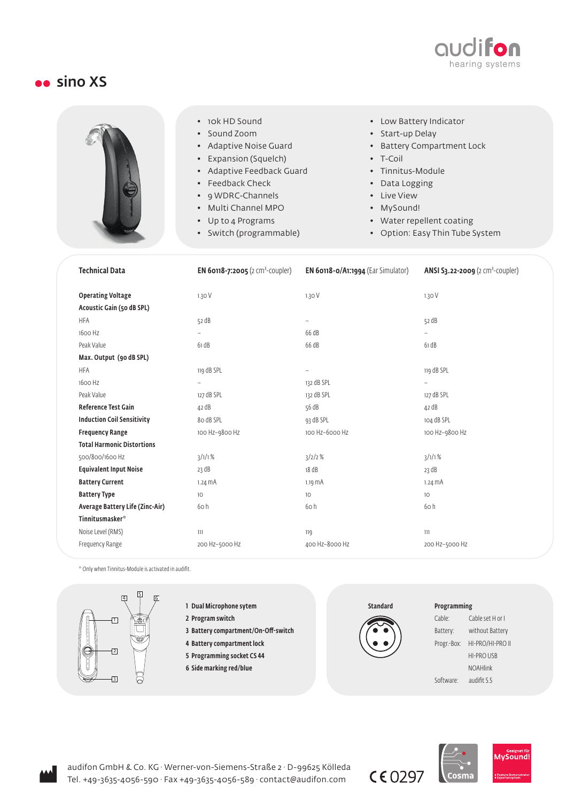

## sino XS



- 10k HD Sound
- Sound Zoom
- Adaptive Noise Guard
- Expansion (Squelch)
- Adaptive Feedback Guard
- Feedback Check
- 9 WDRC-Channels
- Multi Channel MPO
- Up to 4 Programs
- Switch (programmable)
- Low Battery Indicator
- Start-up Delay
- Battery Compartment Lock
- T-Coil
- Tinnitus-Module
- Data Logging
- Live View
- MySound!
- Water repellent coating
- Option: Easy Thin Tube System

| <b>Technical Data</b>                                 | <b>EN 60118-7:2005</b> (2 cm <sup>3</sup> -coupler) | EN 60118-0/A1:1994 (Ear Simulator) | ANSI S3.22-2009 (2 cm <sup>3</sup> -coupler) |
|-------------------------------------------------------|-----------------------------------------------------|------------------------------------|----------------------------------------------|
| <b>Operating Voltage</b><br>Acoustic Gain (50 dB SPL) | 1.30V                                               | 1.30V                              | 1.30V                                        |
| <b>HFA</b>                                            | 52 dB                                               | $\overline{\phantom{0}}$           | 52 dB                                        |
| 1600 Hz                                               | $\overline{a}$                                      | 66 dB                              |                                              |
| Peak Value                                            | 61 dB                                               | 66 dB                              | 61 dB                                        |
| Max. Output (90 dB SPL)                               |                                                     |                                    |                                              |
| <b>HFA</b>                                            | 119 dB SPL                                          | $\overline{\phantom{0}}$           | 119 dB SPL                                   |
| 1600 Hz                                               | $\qquad \qquad -$                                   | 132 dB SPL                         | $\overline{\phantom{0}}$                     |
| Peak Value                                            | 127 dB SPL                                          | 132 dB SPL                         | 127 dB SPL                                   |
| <b>Reference Test Gain</b>                            | 42 dB                                               | 56 dB                              | 42 dB                                        |
| <b>Induction Coil Sensitivity</b>                     | 80 dB SPL                                           | 93 dB SPL                          | 104 dB SPL                                   |
| <b>Frequency Range</b>                                | 100 Hz-9800 Hz                                      | 100 Hz-6000 Hz                     | 100 Hz-9800 Hz                               |
| <b>Total Harmonic Distortions</b>                     |                                                     |                                    |                                              |
| 500/800/1600 Hz                                       | 3/1/1%                                              | 3/2/2%                             | $3/1/1$ %                                    |
| <b>Equivalent Input Noise</b>                         | 23 dB                                               | 18 dB                              | 23 dB                                        |
| <b>Battery Current</b>                                | $1.24 \text{ mA}$                                   | $1.19 \text{ mA}$                  | $1.24 \text{ mA}$                            |
| <b>Battery Type</b>                                   | 10                                                  | 10                                 | 10                                           |
| Average Battery Life (Zinc-Air)                       | 60h                                                 | 60h                                | 60h                                          |
| <b>Tinnitusmasker</b> <sup>*</sup>                    |                                                     |                                    |                                              |
| Noise Level (RMS)                                     | 111                                                 | 119                                | 111                                          |
| Frequency Range                                       | 200 Hz-5000 Hz                                      | 400 Hz-8000 Hz                     | 200 Hz-5000 Hz                               |

\* Only when Tinnitus-Module is activated in audifit.



- 1 Dual Microphone sytem 2 Program switch
	- 3 Battery compartment/On-Off-switch
	- 4 Battery compartment lock
	- 5 Programming socket CS 44
	- 6 Side marking red/blue

**Standard** 

## Programming

| Cable:      | Cable set H or I  |  |  |
|-------------|-------------------|--|--|
| Battery:    | without Battery   |  |  |
| Progr.-Box: | HI-PRO/HI-PRO II  |  |  |
|             | <b>HI-PRO USB</b> |  |  |
|             | <b>NOAHlink</b>   |  |  |
| Software:   | audifit 5.5       |  |  |





audifon GmbH & Co. KG · Werner-von-Siemens-Straße 2 · D-99625 Kölleda Tel. +49-3635-4056-590 · Fax +49-3635-4056-589 · contact@audifon.com

 $C E$  0297